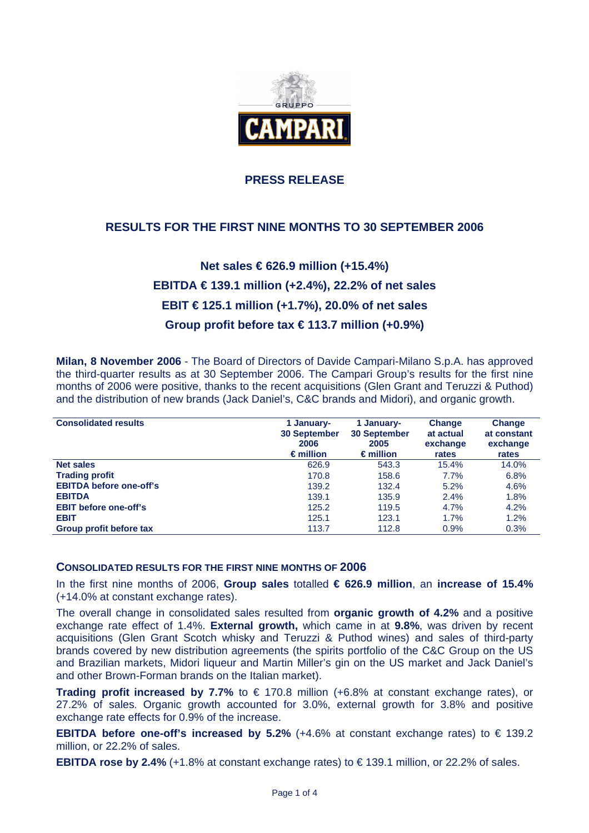

## **PRESS RELEASE**

## **RESULTS FOR THE FIRST NINE MONTHS TO 30 SEPTEMBER 2006**

# **Net sales € 626.9 million (+15.4%) EBITDA € 139.1 million (+2.4%), 22.2% of net sales EBIT € 125.1 million (+1.7%), 20.0% of net sales Group profit before tax € 113.7 million (+0.9%)**

**Milan, 8 November 2006** - The Board of Directors of Davide Campari-Milano S.p.A. has approved the third-quarter results as at 30 September 2006. The Campari Group's results for the first nine months of 2006 were positive, thanks to the recent acquisitions (Glen Grant and Teruzzi & Puthod) and the distribution of new brands (Jack Daniel's, C&C brands and Midori), and organic growth.

| <b>Consolidated results</b>    | 1 January-<br><b>30 September</b><br>2006<br>$\epsilon$ million | 1 January-<br><b>30 September</b><br>2005<br>$\epsilon$ million | Change<br>at actual<br>exchange<br>rates | Change<br>at constant<br>exchange<br>rates |
|--------------------------------|-----------------------------------------------------------------|-----------------------------------------------------------------|------------------------------------------|--------------------------------------------|
| <b>Net sales</b>               | 626.9                                                           | 543.3                                                           | 15.4%                                    | 14.0%                                      |
| <b>Trading profit</b>          | 170.8                                                           | 158.6                                                           | 7.7%                                     | 6.8%                                       |
| <b>EBITDA before one-off's</b> | 139.2                                                           | 132.4                                                           | 5.2%                                     | 4.6%                                       |
| <b>EBITDA</b>                  | 139.1                                                           | 135.9                                                           | 2.4%                                     | 1.8%                                       |
| <b>EBIT before one-off's</b>   | 125.2                                                           | 119.5                                                           | 4.7%                                     | 4.2%                                       |
| <b>EBIT</b>                    | 125.1                                                           | 123.1                                                           | 1.7%                                     | 1.2%                                       |
| Group profit before tax        | 113.7                                                           | 112.8                                                           | 0.9%                                     | 0.3%                                       |

#### **CONSOLIDATED RESULTS FOR THE FIRST NINE MONTHS OF 2006**

In the first nine months of 2006, **Group sales** totalled **€ 626.9 million**, an **increase of 15.4%** (+14.0% at constant exchange rates).

The overall change in consolidated sales resulted from **organic growth of 4.2%** and a positive exchange rate effect of 1.4%. **External growth,** which came in at **9.8%**, was driven by recent acquisitions (Glen Grant Scotch whisky and Teruzzi & Puthod wines) and sales of third-party brands covered by new distribution agreements (the spirits portfolio of the C&C Group on the US and Brazilian markets, Midori liqueur and Martin Miller's gin on the US market and Jack Daniel's and other Brown-Forman brands on the Italian market).

**Trading profit increased by 7.7%** to € 170.8 million (+6.8% at constant exchange rates), or 27.2% of sales. Organic growth accounted for 3.0%, external growth for 3.8% and positive exchange rate effects for 0.9% of the increase.

**EBITDA before one-off's increased by 5.2%** (+4.6% at constant exchange rates) to  $\in$  139.2 million, or 22.2% of sales.

**EBITDA rose by 2.4%** (+1.8% at constant exchange rates) to € 139.1 million, or 22.2% of sales.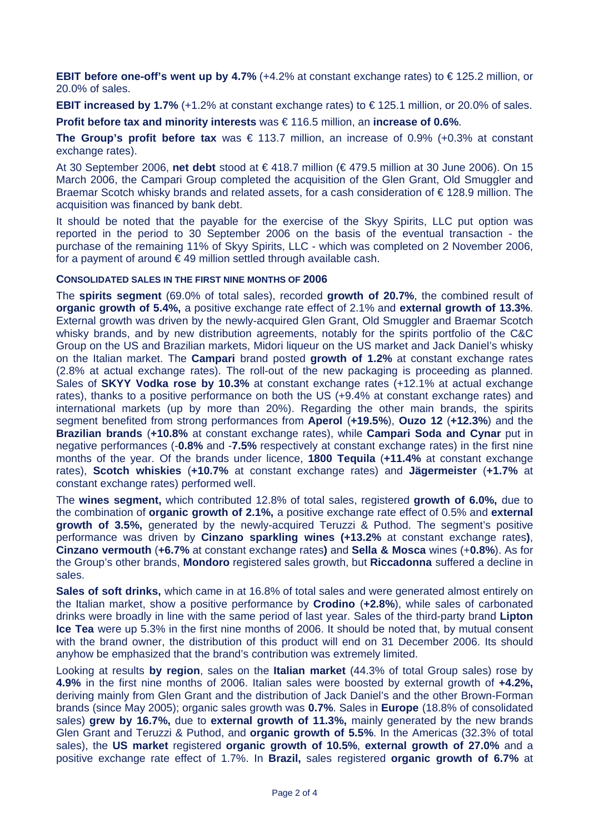**EBIT before one-off's went up by 4.7%** (+4.2% at constant exchange rates) to  $\in$  125.2 million, or 20.0% of sales.

**EBIT increased by 1.7%** (+1.2% at constant exchange rates) to € 125.1 million, or 20.0% of sales.

**Profit before tax and minority interests** was € 116.5 million, an **increase of 0.6%**.

**The Group's profit before tax** was € 113.7 million, an increase of 0.9% (+0.3% at constant exchange rates).

At 30 September 2006, **net debt** stood at € 418.7 million (€ 479.5 million at 30 June 2006). On 15 March 2006, the Campari Group completed the acquisition of the Glen Grant, Old Smuggler and Braemar Scotch whisky brands and related assets, for a cash consideration of € 128.9 million. The acquisition was financed by bank debt.

It should be noted that the payable for the exercise of the Skyy Spirits, LLC put option was reported in the period to 30 September 2006 on the basis of the eventual transaction - the purchase of the remaining 11% of Skyy Spirits, LLC - which was completed on 2 November 2006, for a payment of around  $\epsilon$  49 million settled through available cash.

#### **CONSOLIDATED SALES IN THE FIRST NINE MONTHS OF 2006**

The **spirits segment** (69.0% of total sales), recorded **growth of 20.7%**, the combined result of **organic growth of 5.4%,** a positive exchange rate effect of 2.1% and **external growth of 13.3%**. External growth was driven by the newly-acquired Glen Grant, Old Smuggler and Braemar Scotch whisky brands, and by new distribution agreements, notably for the spirits portfolio of the C&C Group on the US and Brazilian markets, Midori liqueur on the US market and Jack Daniel's whisky on the Italian market. The **Campari** brand posted **growth of 1.2%** at constant exchange rates (2.8% at actual exchange rates). The roll-out of the new packaging is proceeding as planned. Sales of **SKYY Vodka rose by 10.3%** at constant exchange rates (+12.1% at actual exchange rates), thanks to a positive performance on both the US (+9.4% at constant exchange rates) and international markets (up by more than 20%). Regarding the other main brands, the spirits segment benefited from strong performances from **Aperol** (**+19.5%**), **Ouzo 12** (**+12.3%**) and the **Brazilian brands** (**+10.8%** at constant exchange rates), while **Campari Soda and Cynar** put in negative performances (-**0.8%** and -**7.5%** respectively at constant exchange rates) in the first nine months of the year. Of the brands under licence, **1800 Tequila** (**+11.4%** at constant exchange rates), **Scotch whiskies** (**+10.7%** at constant exchange rates) and **Jägermeister** (**+1.7%** at constant exchange rates) performed well.

The **wines segment,** which contributed 12.8% of total sales, registered **growth of 6.0%,** due to the combination of **organic growth of 2.1%,** a positive exchange rate effect of 0.5% and **external growth of 3.5%,** generated by the newly-acquired Teruzzi & Puthod. The segment's positive performance was driven by **Cinzano sparkling wines (+13.2%** at constant exchange rates**)**, **Cinzano vermouth** (**+6.7%** at constant exchange rates**)** and **Sella & Mosca** wines (+**0.8%**). As for the Group's other brands, **Mondoro** registered sales growth, but **Riccadonna** suffered a decline in sales.

**Sales of soft drinks,** which came in at 16.8% of total sales and were generated almost entirely on the Italian market, show a positive performance by **Crodino** (**+2.8%**), while sales of carbonated drinks were broadly in line with the same period of last year. Sales of the third-party brand **Lipton Ice Tea** were up 5.3% in the first nine months of 2006. It should be noted that, by mutual consent with the brand owner, the distribution of this product will end on 31 December 2006. Its should anyhow be emphasized that the brand's contribution was extremely limited.

Looking at results **by region**, sales on the **Italian market** (44.3% of total Group sales) rose by **4.9%** in the first nine months of 2006. Italian sales were boosted by external growth of **+4.2%,**  deriving mainly from Glen Grant and the distribution of Jack Daniel's and the other Brown-Forman brands (since May 2005); organic sales growth was **0.7%**. Sales in **Europe** (18.8% of consolidated sales) **grew by 16.7%,** due to **external growth of 11.3%,** mainly generated by the new brands Glen Grant and Teruzzi & Puthod, and **organic growth of 5.5%**. In the Americas (32.3% of total sales), the **US market** registered **organic growth of 10.5%**, **external growth of 27.0%** and a positive exchange rate effect of 1.7%. In **Brazil,** sales registered **organic growth of 6.7%** at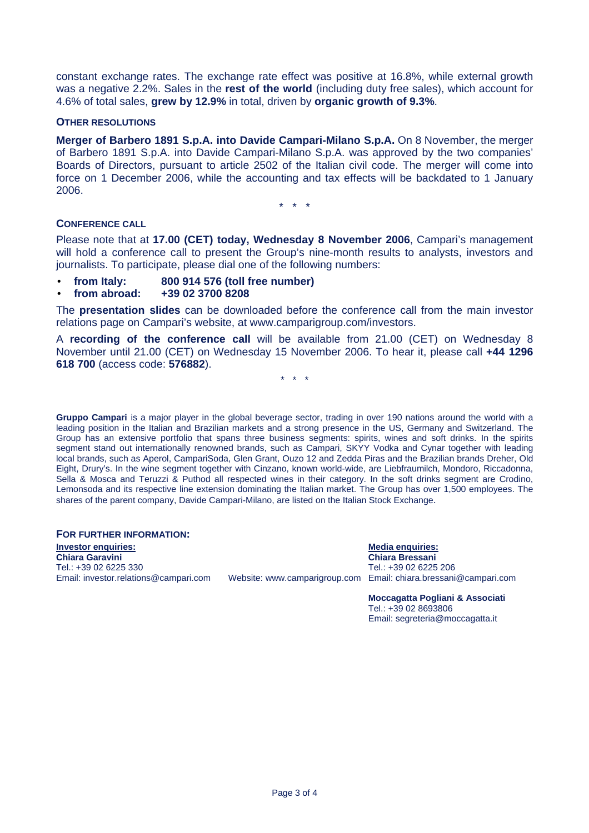constant exchange rates. The exchange rate effect was positive at 16.8%, while external growth was a negative 2.2%. Sales in the **rest of the world** (including duty free sales), which account for 4.6% of total sales, **grew by 12.9%** in total, driven by **organic growth of 9.3%**.

#### **OTHER RESOLUTIONS**

**Merger of Barbero 1891 S.p.A. into Davide Campari-Milano S.p.A.** On 8 November, the merger of Barbero 1891 S.p.A. into Davide Campari-Milano S.p.A. was approved by the two companies' Boards of Directors, pursuant to article 2502 of the Italian civil code. The merger will come into force on 1 December 2006, while the accounting and tax effects will be backdated to 1 January 2006.

\* \* \*

#### **CONFERENCE CALL**

Please note that at **17.00 (CET) today, Wednesday 8 November 2006**, Campari's management will hold a conference call to present the Group's nine-month results to analysts, investors and journalists. To participate, please dial one of the following numbers:

- **from Italy: 800 914 576 (toll free number)**
- **from abroad: +39 02 3700 8208**

The **presentation slides** can be downloaded before the conference call from the main investor relations page on Campari's website, at www.camparigroup.com/investors.

A **recording of the conference call** will be available from 21.00 (CET) on Wednesday 8 November until 21.00 (CET) on Wednesday 15 November 2006. To hear it, please call **+44 1296 618 700** (access code: **576882**).

\* \* \*

**Gruppo Campari** is a major player in the global beverage sector, trading in over 190 nations around the world with a leading position in the Italian and Brazilian markets and a strong presence in the US, Germany and Switzerland. The Group has an extensive portfolio that spans three business segments: spirits, wines and soft drinks. In the spirits segment stand out internationally renowned brands, such as Campari, SKYY Vodka and Cynar together with leading local brands, such as Aperol, CampariSoda, Glen Grant, Ouzo 12 and Zedda Piras and the Brazilian brands Dreher, Old Eight, Drury's. In the wine segment together with Cinzano, known world-wide, are Liebfraumilch, Mondoro, Riccadonna, Sella & Mosca and Teruzzi & Puthod all respected wines in their category. In the soft drinks segment are Crodino, Lemonsoda and its respective line extension dominating the Italian market. The Group has over 1,500 employees. The shares of the parent company, Davide Campari-Milano, are listed on the Italian Stock Exchange.

**FOR FURTHER INFORMATION:** 

**Investor enquiries:** Media enquiries: Media enquiries: Media enquiries: Media enquiries: Media enquiries: Media enquiries: Media enquiries: Media enquiries: Media enquiries: Media enquiries: Media enquiries: Media enquiri **Chiara Garavini Chiara Bressani**  Tel.: +39 02 6225 330<br>Email: investor.relations@campari.com

Website: www.camparigroup.com Email: chiara.bressani@campari.com

**Moccagatta Pogliani & Associati**  Tel.: +39 02 8693806 Email: segreteria@moccagatta.it